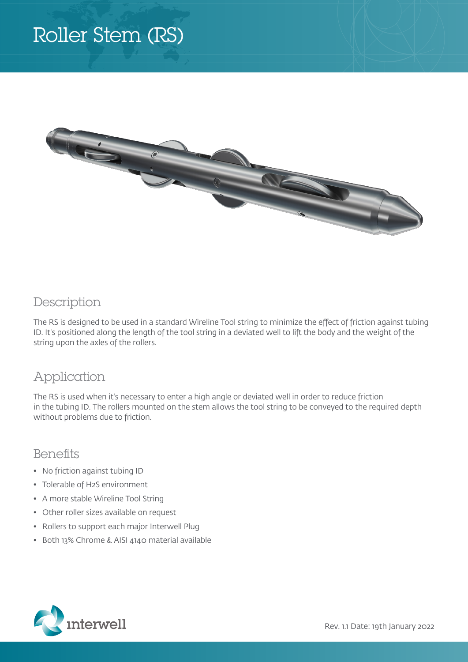# Roller Stem (RS)



### Description

The RS is designed to be used in a standard Wireline Tool string to minimize the effect of friction against tubing ID. It's positioned along the length of the tool string in a deviated well to lift the body and the weight of the string upon the axles of the rollers.

### Application

The RS is used when it's necessary to enter a high angle or deviated well in order to reduce friction in the tubing ID. The rollers mounted on the stem allows the tool string to be conveyed to the required depth without problems due to friction.

#### **Benefits**

- No friction against tubing ID
- Tolerable of H2S environment
- A more stable Wireline Tool String
- Other roller sizes available on request
- Rollers to support each major Interwell Plug
- Both 13% Chrome & AISI 4140 material available